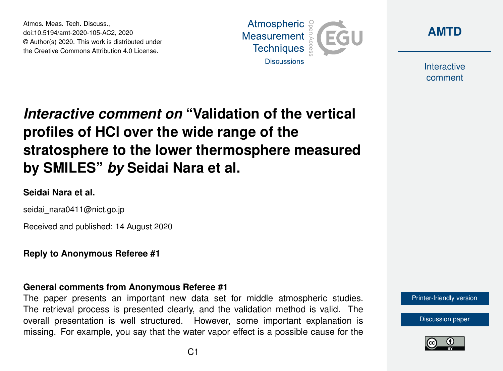Atmos. Meas. Tech. Discuss., doi:10.5194/amt-2020-105-AC2, 2020 © Author(s) 2020. This work is distributed under the Creative Commons Attribution 4.0 License.





Interactive comment

# *Interactive comment on* **"Validation of the vertical profiles of HCl over the wide range of the stratosphere to the lower thermosphere measured by SMILES"** *by* **Seidai Nara et al.**

## **Seidai Nara et al.**

seidai\_nara0411@nict.go.jp

Received and published: 14 August 2020

**Reply to Anonymous Referee #1**

### **General comments from Anonymous Referee #1**

The paper presents an important new data set for middle atmospheric studies. The retrieval process is presented clearly, and the validation method is valid. The overall presentation is well structured. However, some important explanation is missing. For example, you say that the water vapor effect is a possible cause for the

[Printer-friendly version](https://amt.copernicus.org/preprints/amt-2020-105/amt-2020-105-AC2-print.pdf)

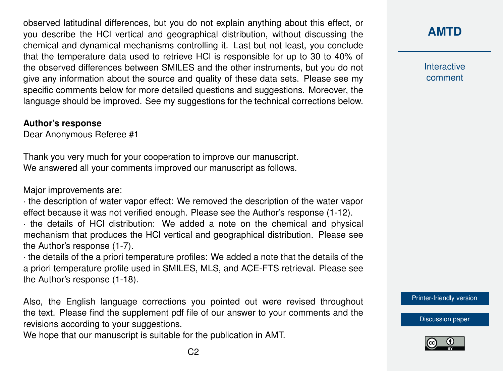observed latitudinal differences, but you do not explain anything about this effect, or you describe the HCl vertical and geographical distribution, without discussing the chemical and dynamical mechanisms controlling it. Last but not least, you conclude that the temperature data used to retrieve HCl is responsible for up to 30 to 40% of the observed differences between SMILES and the other instruments, but you do not give any information about the source and quality of these data sets. Please see my specific comments below for more detailed questions and suggestions. Moreover, the language should be improved. See my suggestions for the technical corrections below.

#### **Author's response**

Dear Anonymous Referee #1

Thank you very much for your cooperation to improve our manuscript. We answered all your comments improved our manuscript as follows.

Major improvements are:

· the description of water vapor effect: We removed the description of the water vapor effect because it was not verified enough. Please see the Author's response (1-12).

· the details of HCl distribution: We added a note on the chemical and physical mechanism that produces the HCl vertical and geographical distribution. Please see the Author's response (1-7).

· the details of the a priori temperature profiles: We added a note that the details of the a priori temperature profile used in SMILES, MLS, and ACE-FTS retrieval. Please see the Author's response (1-18).

Also, the English language corrections you pointed out were revised throughout the text. Please find the supplement pdf file of our answer to your comments and the revisions according to your suggestions.

We hope that our manuscript is suitable for the publication in AMT.

Interactive comment

[Printer-friendly version](https://amt.copernicus.org/preprints/amt-2020-105/amt-2020-105-AC2-print.pdf)

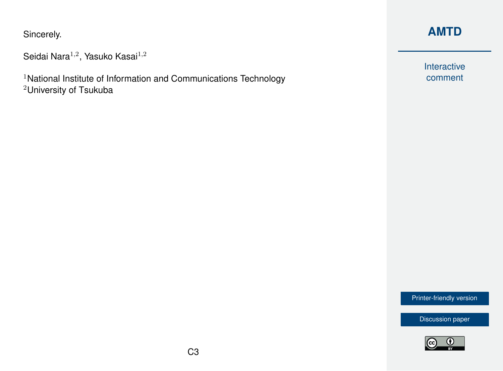Sincerely.

```
Seidai Nara^{1,2}, Yasuko Kasai^{1,2}
```
<sup>1</sup>National Institute of Information and Communications Technology <sup>2</sup>University of Tsukuba

# **[AMTD](https://amt.copernicus.org/preprints/)**

Interactive comment

[Printer-friendly version](https://amt.copernicus.org/preprints/amt-2020-105/amt-2020-105-AC2-print.pdf)